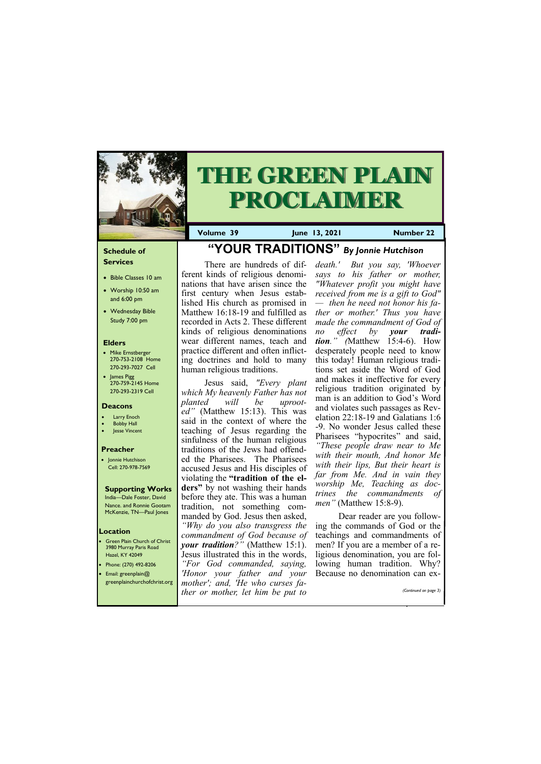# **Schedule of Services**

- Bible Classes 10 am
- Worship 10:50 am and 6:00 pm
- Wednesday Bible Study 7:00 pm

# **Elders**

- Mike Ernstberger 270-753-2108 Home 270-293-7027 Cell
- James Pigg 270-759-2145 Home 270-293-2319 Cell

**Green Plain Church of Christ** 3980 Murray Paris Road Hazel, KY 42049 • Phone: (270) 492-8206 • Email: greenplain@



# **THE GREEN PLAIN PROCLAIMER**

# **Location**

**Volume 39 June 13, 2021 Number 22**

# **Deacons**

- Larry Enoch
- **Bobby Hall**
- Jesse Vincent

# **Preacher**

• Jonnie Hutchison Cell: 270-978-7569

# **Supporting Works**

India—Dale Foster, David Nance. and Ronnie Gootam McKenzie, TN—Paul Jones

# **"YOUR TRADITIONS"** *By Jonnie Hutchison*

There are hundreds of different kinds of religious denominations that have arisen since the first century when Jesus established His church as promised in Matthew 16:18-19 and fulfilled as recorded in Acts 2. These different kinds of religious denominations wear different names, teach and practice different and often inflicting doctrines and hold to many human religious traditions.

Jesus said, *"Every plant which My heavenly Father has not planted will be uprooted"* (Matthew 15:13). This was said in the context of where the teaching of Jesus regarding the sinfulness of the human religious traditions of the Jews had offended the Pharisees. The Pharisees accused Jesus and His disciples of violating the **"tradition of the elders"** by not washing their hands before they ate. This was a human tradition, not something commanded by God. Jesus then asked, *"Why do you also transgress the commandment of God because of your tradition?"* (Matthew 15:1). Jesus illustrated this in the words, *"For God commanded, saying, 'Honor your father and your* 

|  | greenplainchurchofchrist.org mother'; and, 'He who curses fa- |                       |
|--|---------------------------------------------------------------|-----------------------|
|  | ther or mother, let him be put to                             | (Continued on page 3) |
|  |                                                               |                       |

*death.' But you say, 'Whoever says to his father or mother, "Whatever profit you might have received from me is a gift to God" — then he need not honor his father or mother.' Thus you have made the commandment of God of no effect by your tradition." (*Matthew 15:4-6). How desperately people need to know this today! Human religious traditions set aside the Word of God and makes it ineffective for every religious tradition originated by man is an addition to God's Word and violates such passages as Revelation 22:18-19 and Galatians 1:6 -9. No wonder Jesus called these Pharisees "hypocrites" and said, *"These people draw near to Me with their mouth, And honor Me with their lips, But their heart is far from Me. And in vain they worship Me, Teaching as doctrines the commandments of men"* (Matthew 15:8-9).

Dear reader are you following the commands of God or the teachings and commandments of men? If you are a member of a religious denomination, you are following human tradition. Why? Because no denomination can ex-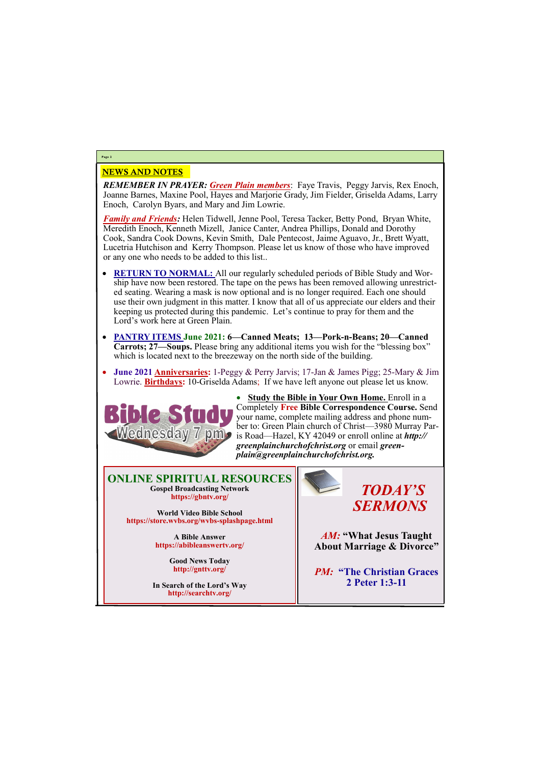# NEWS AND NOTES

*REMEMBER IN PRAYER: Green Plain members*: Faye Travis, Peggy Jarvis, Rex Enoch, Joanne Barnes, Maxine Pool, Hayes and Marjorie Grady, Jim Fielder, Griselda Adams, Larry Enoch, Carolyn Byars, and Mary and Jim Lowrie.

*Family and Friends:* Helen Tidwell, Jenne Pool, Teresa Tacker, Betty Pond, Bryan White, Meredith Enoch, Kenneth Mizell, Janice Canter, Andrea Phillips, Donald and Dorothy Cook, Sandra Cook Downs, Kevin Smith, Dale Pentecost, Jaime Aguavo, Jr., Brett Wyatt, Lucetria Hutchison and Kerry Thompson. Please let us know of those who have improved or any one who needs to be added to this list..

- **RETURN TO NORMAL:** All our regularly scheduled periods of Bible Study and Worship have now been restored. The tape on the pews has been removed allowing unrestricted seating. Wearing a mask is now optional and is no longer required. Each one should use their own judgment in this matter. I know that all of us appreciate our elders and their keeping us protected during this pandemic. Let's continue to pray for them and the Lord's work here at Green Plain.
- **PANTRY ITEMS June 2021: 6—Canned Meats; 13—Pork-n-Beans; 20—Canned Carrots; 27—Soups.** Please bring any additional items you wish for the "blessing box" which is located next to the breezeway on the north side of the building.
- **June 2021 Anniversaries:** 1-Peggy & Perry Jarvis; 17-Jan & James Pigg; 25-Mary & Jim Lowrie. **Birthdays:** 10-Griselda Adams; If we have left anyone out please let us know.



• **Study the Bible in Your Own Home.** Enroll in a Completely **Free Bible Correspondence Course.** Send your name, complete mailing address and phone number to: Green Plain church of Christ—3980 Murray Paris Road—Hazel, KY 42049 or enroll online at *http:// greenplainchurchofchrist.org* or email *greenplain@greenplainchurchofchrist.org.*

# **Page 2**

# **ONLINE SPIRITUAL RESOURCES Gospel Broadcasting Network https://gbntv.org/**

**World Video Bible School https://store.wvbs.org/wvbs-splashpage.html**

> **A Bible Answer https://abibleanswertv.org/**

> > **Good News Today http://gnttv.org/**

**In Search of the Lord's Way http://searchtv.org/**



*AM:* **"What Jesus Taught About Marriage & Divorce"**

*PM:* **"The Christian Graces**

# **2 Peter 1:3-11**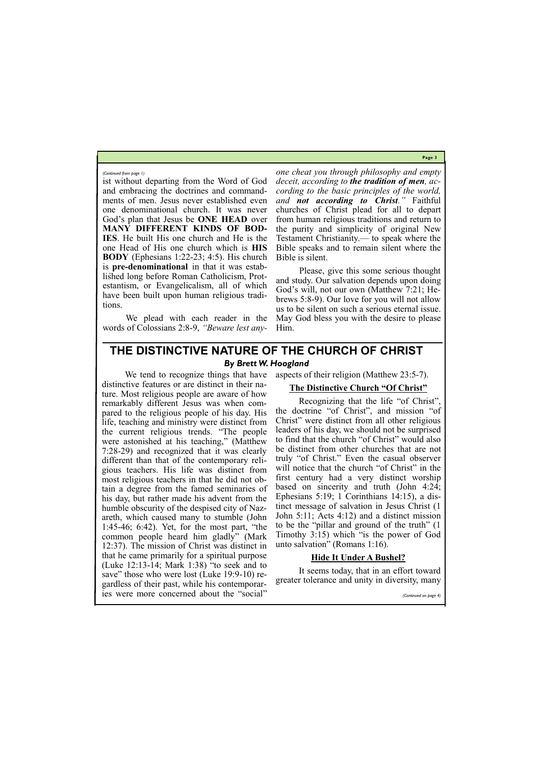**Page 3**

ist without departing from the Word of God and embracing the doctrines and commandments of men. Jesus never established even one denominational church. It was never God's plan that Jesus be **ONE HEAD** over **MANY DIFFERENT KINDS OF BOD-IES**. He built His one church and He is the one Head of His one church which is **HIS BODY** (Ephesians 1:22-23; 4:5). His church is **pre-denominational** in that it was established long before Roman Catholicism, Protestantism, or Evangelicalism, all of which have been built upon human religious traditions.

We plead with each reader in the words of Colossians 2:8-9, *"Beware lest any-* *one cheat you through philosophy and empty deceit, according to the tradition of men, according to the basic principles of the world, and not according to Christ."* Faithful churches of Christ plead for all to depart from human religious traditions and return to the purity and simplicity of original New Testament Christianity.— to speak where the Bible speaks and to remain silent where the Bible is silent.

Please, give this some serious thought and study. Our salvation depends upon doing God's will, not our own (Matthew 7:21; Hebrews 5:8-9). Our love for you will not allow us to be silent on such a serious eternal issue. May God bless you with the desire to please Him.

#### *(Continued from page 1)*

# **THE DISTINCTIVE NATURE OF THE CHURCH OF CHRIST** *By Brett W. Hoogland*

We tend to recognize things that have distinctive features or are distinct in their nature. Most religious people are aware of how remarkably different Jesus was when compared to the religious people of his day. His life, teaching and ministry were distinct from the current religious trends. "The people were astonished at his teaching," (Matthew 7:28-29) and recognized that it was clearly different than that of the contemporary religious teachers. His life was distinct from most religious teachers in that he did not obtain a degree from the famed seminaries of his day, but rather made his advent from the humble obscurity of the despised city of Nazareth, which caused many to stumble (John 1:45-46; 6:42). Yet, for the most part, "the common people heard him gladly" (Mark 12:37). The mission of Christ was distinct in that he came primarily for a spiritual purpose (Luke 12:13-14; Mark 1:38) "to seek and to save" those who were lost (Luke 19:9-10) regardless of their past, while his contemporaries were more concerned about the "social"

aspects of their religion (Matthew 23:5-7).

# **The Distinctive Church "Of Christ"**

Recognizing that the life "of Christ", the doctrine "of Christ", and mission "of Christ" were distinct from all other religious leaders of his day, we should not be surprised to find that the church "of Christ" would also be distinct from other churches that are not truly "of Christ." Even the casual observer will notice that the church "of Christ" in the first century had a very distinct worship based on sincerity and truth (John 4:24; Ephesians 5:19; 1 Corinthians 14:15), a distinct message of salvation in Jesus Christ (1 John 5:11; Acts 4:12) and a distinct mission to be the "pillar and ground of the truth" (1 Timothy 3:15) which "is the power of God unto salvation" (Romans 1:16).

# **Hide It Under A Bushel?**

It seems today, that in an effort toward

greater tolerance and unity in diversity, many

*(Continued on page 4)*